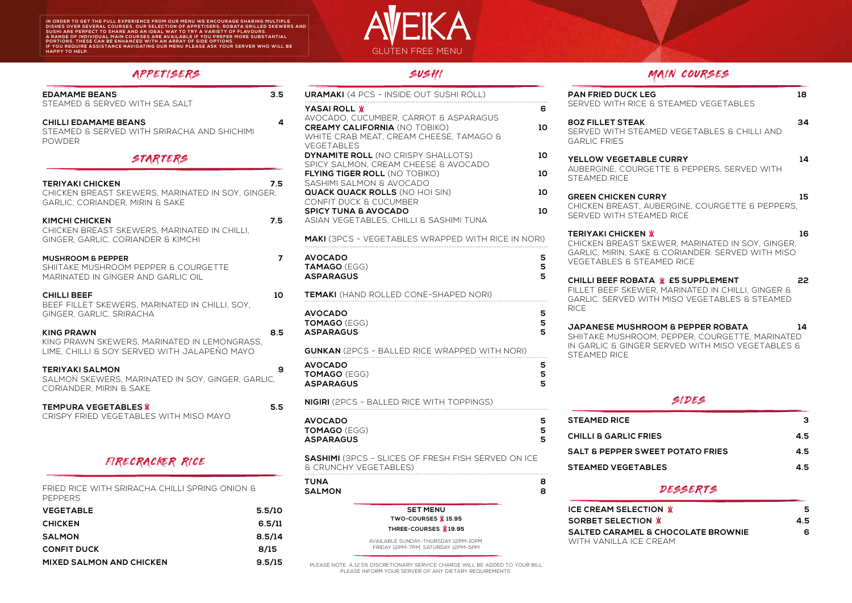IN ORDER TO GET THE FULL EXPERIENCE FROM OUR MENU WE ENCOURAGE SHARING MULTIPLE<br>DISHES OVER SEVERAL COURSES. OUR SELECTION OF APPETISERS, ROBATA GRILLED SKEWERS AND<br>SUSHI ARE PERFECT TO SHARE AND AN IDEAL WAY TO TRY A VARI

# GLUTEN FREE MENU

PLEASE NOTE: A 12.5% DISCRETIONARY SERVICE CHARGE WILL BE ADDED TO YOUR BILL PLEASE INFORM YOUR SERVER OF ANY DIETARY REQUIREMENTS.

## SUSHI

**JAPANESE MUSHROOM & PEPPER ROBATA 14** ITAKE MUSHROOM, PEPPER, COURGETTE, MARINATED **SARLIC & GINGER SERVED WITH MISO VEGETABLES &** 

## MAIN COURSES

| <b>N FRIED DUCK LEG</b><br><b>RVED WITH RICE &amp; STEAMED VEGETABLES</b>                                                                                  | 18 |
|------------------------------------------------------------------------------------------------------------------------------------------------------------|----|
| <b>Z FILLET STEAK</b><br><b>RVED WITH STEAMED VEGETABLES &amp; CHILLI AND</b><br><b>RLIC FRIES</b>                                                         | 34 |
| <b>LOW VEGETABLE CURRY</b><br>BERGINE, COURGETTE & PEPPERS, SERVED WITH<br><b>EAMED RICE</b>                                                               | 14 |
| <b>EEN CHICKEN CURRY</b><br>CKEN BREAST, AUBERGINE, COURGETTE & PEPPERS,<br><b>RVED WITH STEAMED RICE</b>                                                  | 15 |
| RIYAKI CHICKEN Ж<br>CKEN BREAST SKEWER, MARINATED IN SOY, GINGER,<br>RLIC, MIRIN, SAKE & CORIANDER. SERVED WITH MISO<br><b>GETABLES &amp; STEAMED RICE</b> | 16 |
| LLI BEEF ROBATA WE5 SUPPLEMENT<br>LET BEEF SKEWER, MARINATED IN CHILLI, GINGER &<br>RLIC. SERVED WITH MISO VEGETABLES & STEAMED<br>E                       | 22 |
|                                                                                                                                                            |    |

| <b>EDAMAME BEANS</b>                                                  | 3.5                     | <b>URAMAKI</b> (4 PCS - INSIDE OUT SUSHI ROLL)                  |                | <b>PAN FRIED DUCK LI</b>                     |
|-----------------------------------------------------------------------|-------------------------|-----------------------------------------------------------------|----------------|----------------------------------------------|
| STEAMED & SERVED WITH SEA SALT                                        |                         | YASAI ROLL W                                                    | 6              | SERVED WITH RICE                             |
| <b>CHILLI EDAMAME BEANS</b>                                           | $\overline{\mathbf{4}}$ | AVOCADO, CUCUMBER, CARROT & ASPARAGUS                           |                | <b>80Z FILLET STEAK</b>                      |
| STEAMED & SERVED WITH SRIRACHA AND SHICHIMI                           |                         | <b>CREAMY CALIFORNIA (NO TOBIKO)</b>                            | 10             | SERVED WITH STE                              |
| <b>POWDER</b>                                                         |                         | WHITE CRAB MEAT, CREAM CHEESE, TAMAGO &<br><b>VEGETABLES</b>    |                | <b>GARLIC FRIES</b>                          |
|                                                                       |                         | <b>DYNAMITE ROLL (NO CRISPY SHALLOTS)</b>                       | 10             |                                              |
| STARTERS                                                              |                         | SPICY SALMON, CREAM CHEESE & AVOCADO                            |                | YELLOW VEGETAB<br><b>AUBERGINE, COURO</b>    |
|                                                                       |                         | <b>FLYING TIGER ROLL (NO TOBIKO)</b>                            | 10             | STEAMED RICE                                 |
| <b>TERIYAKI CHICKEN</b>                                               | 7.5                     | SASHIMI SALMON & AVOCADO                                        |                |                                              |
| CHICKEN BREAST SKEWERS, MARINATED IN SOY, GINGER,                     |                         | <b>QUACK QUACK ROLLS (NO HOI SIN)</b><br>CONFIT DUCK & CUCUMBER | 10             | <b>GREEN CHICKEN CI</b>                      |
| GARLIC, CORIANDER, MIRIN & SAKE                                       |                         | <b>SPICY TUNA &amp; AVOCADO</b>                                 | 10             | CHICKEN BREAST, A                            |
| <b>KIMCHI CHICKEN</b>                                                 | 7.5                     | ASIAN VEGETABLES, CHILLI & SASHIMI TUNA                         |                | SERVED WITH STE                              |
| CHICKEN BREAST SKEWERS, MARINATED IN CHILLI,                          |                         |                                                                 |                | <b>TERIYAKI CHICKEN</b>                      |
| GINGER, GARLIC, CORIANDER & KIMCHI                                    |                         | <b>MAKI</b> (3PCS - VEGETABLES WRAPPED WITH RICE IN NORI)       |                | CHICKEN BREAST S                             |
|                                                                       | $\overline{7}$          | <b>AVOCADO</b>                                                  |                | <b>GARLIC, MIRIN, SAK</b>                    |
| <b>MUSHROOM &amp; PEPPER</b><br>SHIITAKE MUSHROOM PEPPER & COURGETTE  |                         | <b>TAMAGO (EGG)</b>                                             | 5<br>5         | <b>VEGETABLES &amp; STI</b>                  |
| MARINATED IN GINGER AND GARLIC OIL                                    |                         | <b>ASPARAGUS</b>                                                | 5              |                                              |
|                                                                       |                         |                                                                 |                | <b>CHILLI BEEF ROBAT</b><br>FILLET BEEF SKEW |
| <b>CHILLI BEEF</b>                                                    | 10                      | TEMAKI (HAND ROLLED CONE-SHAPED NORI)                           |                | <b>GARLIC. SERVED W</b>                      |
| BEEF FILLET SKEWERS, MARINATED IN CHILLI, SOY,                        |                         | <b>AVOCADO</b>                                                  | $5\phantom{1}$ | <b>RICE</b>                                  |
| GINGER, GARLIC, SRIRACHA                                              |                         | <b>TOMAGO (EGG)</b>                                             |                |                                              |
| <b>KING PRAWN</b>                                                     | 8.5                     | <b>ASPARAGUS</b>                                                | $\frac{5}{5}$  | <b>JAPANESE MUSHR</b>                        |
| KING PRAWN SKEWERS, MARINATED IN LEMONGRASS,                          |                         |                                                                 |                | <b>SHIITAKE MUSHROO</b><br>IN GARLIC & GINGE |
| LIME, CHILLI & SOY SERVED WITH JALAPEÑO MAYO                          |                         | <b>GUNKAN</b> (2PCS - BALLED RICE WRAPPED WITH NORI)            |                | STEAMED RICE                                 |
| <b>TERIYAKI SALMON</b>                                                | 9                       | <b>AVOCADO</b>                                                  | 5              |                                              |
| SALMON SKEWERS, MARINATED IN SOY, GINGER, GARLIC,                     |                         | <b>TOMAGO (EGG)</b>                                             | 5              |                                              |
| CORIANDER, MIRIN & SAKE                                               |                         | <b>ASPARAGUS</b>                                                | 5              |                                              |
|                                                                       |                         | <b>NIGIRI</b> (2PCS - BALLED RICE WITH TOPPINGS)                |                |                                              |
| <b>TEMPURA VEGETABLES W</b><br>CRISPY FRIED VEGETABLES WITH MISO MAYO | 5.5                     |                                                                 |                |                                              |
|                                                                       |                         | <b>AVOCADO</b>                                                  | 5.             | <b>STEAMED RICE</b>                          |
|                                                                       |                         | <b>TOMAGO (EGG)</b>                                             | 5<br>5         | <b>CHILLI &amp; GARLIC FF</b>                |
|                                                                       |                         | <b>ASPARAGUS</b>                                                |                |                                              |
|                                                                       |                         | <b>SASHIMI</b> (3PCS - SLICES OF FRESH FISH SERVED ON ICE       |                | <b>SALT &amp; PEPPER SV</b>                  |
| FIRECRACKER RICE                                                      |                         | <b>&amp; CRUNCHY VEGETABLES)</b>                                |                | <b>STEAMED VEGETA</b>                        |
|                                                                       |                         | <b>TUNA</b>                                                     | 8              |                                              |
| FRIED RICE WITH SRIRACHA CHILLI SPRING ONION &                        |                         | <b>SALMON</b>                                                   | 8              |                                              |
| <b>PEPPERS</b>                                                        |                         | <b>SET MENU</b>                                                 |                | <b>ICE CREAM SELECT</b>                      |
| <b>VEGETABLE</b>                                                      | 5.5/10                  | TWO-COURSES $\cancel{\text{M}}$ 15.95                           |                | <b>SORBET SELECTIO</b>                       |
| <b>CHICKEN</b>                                                        | 6.5/11                  | THREE-COURSES W19.95                                            |                | <b>SALTED CARAMEL</b>                        |
| <b>SALMON</b>                                                         | 8.5/14                  | AVAILABLE SUNDAY-THURSDAY 12PM-10PM.                            |                | WITH VANILLA ICE                             |
| <b>CONFIT DUCK</b>                                                    | 8/15                    | FRIDAY 12PM-7PM, SATURDAY 12PM-5PM                              |                |                                              |
| <b>MIXED SALMON AND CHICKEN</b>                                       | 9.5/15                  |                                                                 |                |                                              |

### APPET ISERS

#### SIDES

|                          | 3   |
|--------------------------|-----|
| <b>RIES</b>              | 4.5 |
| <b>VEET POTATO FRIES</b> | 4.5 |
| <b>BLES</b>              | 4.5 |

#### **DESSERTS**

| <b>CREAM SELECTION W</b>         |     |
|----------------------------------|-----|
| <b>RBET SELECTION W</b>          | 4.5 |
| LTED CARAMEL & CHOCOLATE BROWNIE | 6   |
| TH VANILLA ICE CREAM.            |     |